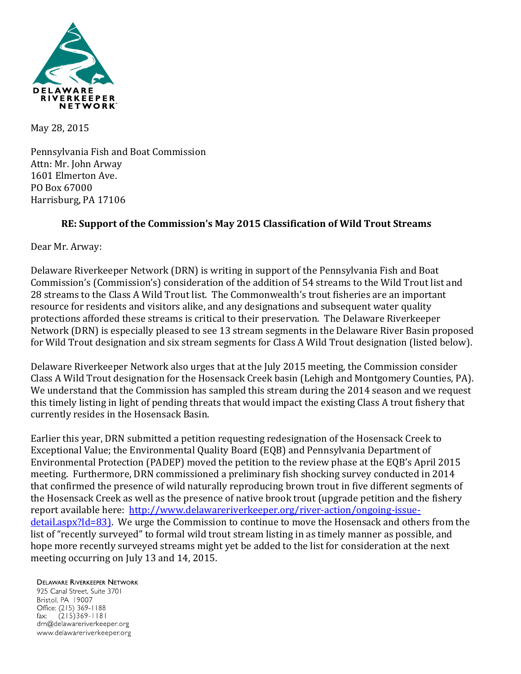

May 28, 2015

Pennsylvania Fish and Boat Commission Attn: Mr. John Arway 1601 Elmerton Ave. PO Box 67000 Harrisburg, PA 17106

## **RE: Support of the Commission's May 2015 Classification of Wild Trout Streams**

Dear Mr. Arway:

Delaware Riverkeeper Network (DRN) is writing in support of the Pennsylvania Fish and Boat Commission's (Commission's) consideration of the addition of 54 streams to the Wild Trout list and 28 streams to the Class A Wild Trout list. The Commonwealth's trout fisheries are an important resource for residents and visitors alike, and any designations and subsequent water quality protections afforded these streams is critical to their preservation. The Delaware Riverkeeper Network (DRN) is especially pleased to see 13 stream segments in the Delaware River Basin proposed for Wild Trout designation and six stream segments for Class A Wild Trout designation (listed below).

Delaware Riverkeeper Network also urges that at the July 2015 meeting, the Commission consider Class A Wild Trout designation for the Hosensack Creek basin (Lehigh and Montgomery Counties, PA). We understand that the Commission has sampled this stream during the 2014 season and we request this timely listing in light of pending threats that would impact the existing Class A trout fishery that currently resides in the Hosensack Basin.

Earlier this year, DRN submitted a petition requesting redesignation of the Hosensack Creek to Exceptional Value; the Environmental Quality Board (EQB) and Pennsylvania Department of Environmental Protection (PADEP) moved the petition to the review phase at the EQB's April 2015 meeting. Furthermore, DRN commissioned a preliminary fish shocking survey conducted in 2014 that confirmed the presence of wild naturally reproducing brown trout in five different segments of the Hosensack Creek as well as the presence of native brook trout (upgrade petition and the fishery report available here: [http://www.delawareriverkeeper.org/river-action/ongoing-issue](http://www.delawareriverkeeper.org/river-action/ongoing-issue-detail.aspx?Id=83)[detail.aspx?Id=83\)](http://www.delawareriverkeeper.org/river-action/ongoing-issue-detail.aspx?Id=83). We urge the Commission to continue to move the Hosensack and others from the list of "recently surveyed" to formal wild trout stream listing in as timely manner as possible, and hope more recently surveyed streams might yet be added to the list for consideration at the next meeting occurring on July 13 and 14, 2015.

## **DELAWARE RIVERKEEPER NETWORK**

925 Canal Street, Suite 3701 Bristol, PA 19007 Office: (215) 369-1188  $(215)369 - 1181$  $\mathsf{fax:}$ drn@delawareriverkeeper.org www.delawareriverkeeper.org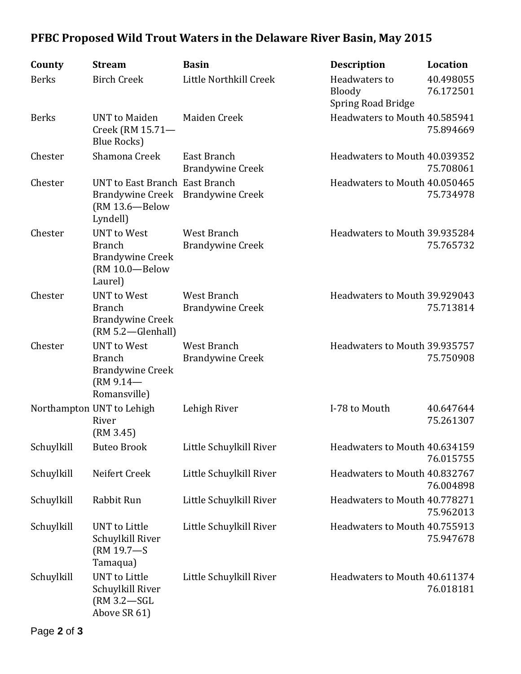## **PFBC Proposed Wild Trout Waters in the Delaware River Basin, May 2015**

| County       | <b>Stream</b>                                                                                  | <b>Basin</b>                           | <b>Description</b>                                   | <b>Location</b>        |
|--------------|------------------------------------------------------------------------------------------------|----------------------------------------|------------------------------------------------------|------------------------|
| <b>Berks</b> | <b>Birch Creek</b>                                                                             | Little Northkill Creek                 | Headwaters to<br>Bloody<br><b>Spring Road Bridge</b> | 40.498055<br>76.172501 |
| <b>Berks</b> | <b>UNT</b> to Maiden<br>Creek (RM 15.71-<br><b>Blue Rocks</b> )                                | Maiden Creek                           | Headwaters to Mouth 40.585941                        | 75.894669              |
| Chester      | Shamona Creek                                                                                  | East Branch<br><b>Brandywine Creek</b> | Headwaters to Mouth 40.039352                        | 75.708061              |
| Chester      | UNT to East Branch East Branch<br><b>Brandywine Creek</b><br>(RM 13.6-Below<br>Lyndell)        | <b>Brandywine Creek</b>                | Headwaters to Mouth 40.050465                        | 75.734978              |
| Chester      | <b>UNT</b> to West<br><b>Branch</b><br><b>Brandywine Creek</b><br>(RM 10.0-Below<br>Laurel)    | West Branch<br><b>Brandywine Creek</b> | Headwaters to Mouth 39.935284                        | 75.765732              |
| Chester      | <b>UNT</b> to West<br><b>Branch</b><br><b>Brandywine Creek</b><br>(RM 5.2—Glenhall)            | West Branch<br><b>Brandywine Creek</b> | Headwaters to Mouth 39.929043                        | 75.713814              |
| Chester      | <b>UNT</b> to West<br><b>Branch</b><br><b>Brandywine Creek</b><br>$(RM 9.14 -$<br>Romansville) | West Branch<br><b>Brandywine Creek</b> | Headwaters to Mouth 39.935757                        | 75.750908              |
|              | Northampton UNT to Lehigh<br>River<br>(RM 3.45)                                                | Lehigh River                           | I-78 to Mouth                                        | 40.647644<br>75.261307 |
| Schuylkill   | <b>Buteo Brook</b>                                                                             | Little Schuylkill River                | Headwaters to Mouth 40.634159                        | 76.015755              |
| Schuylkill   | Neifert Creek                                                                                  | Little Schuylkill River                | Headwaters to Mouth 40.832767                        | 76.004898              |
| Schuylkill   | Rabbit Run                                                                                     | Little Schuylkill River                | Headwaters to Mouth 40.778271                        | 75.962013              |
| Schuylkill   | UNT to Little<br>Schuylkill River<br>(RM 19.7-S<br>Tamaqua)                                    | Little Schuylkill River                | Headwaters to Mouth 40.755913                        | 75.947678              |
| Schuylkill   | <b>UNT</b> to Little<br>Schuylkill River<br>$(RM 3.2 - SGL)$<br>Above SR 61)                   | Little Schuylkill River                | Headwaters to Mouth 40.611374                        | 76.018181              |